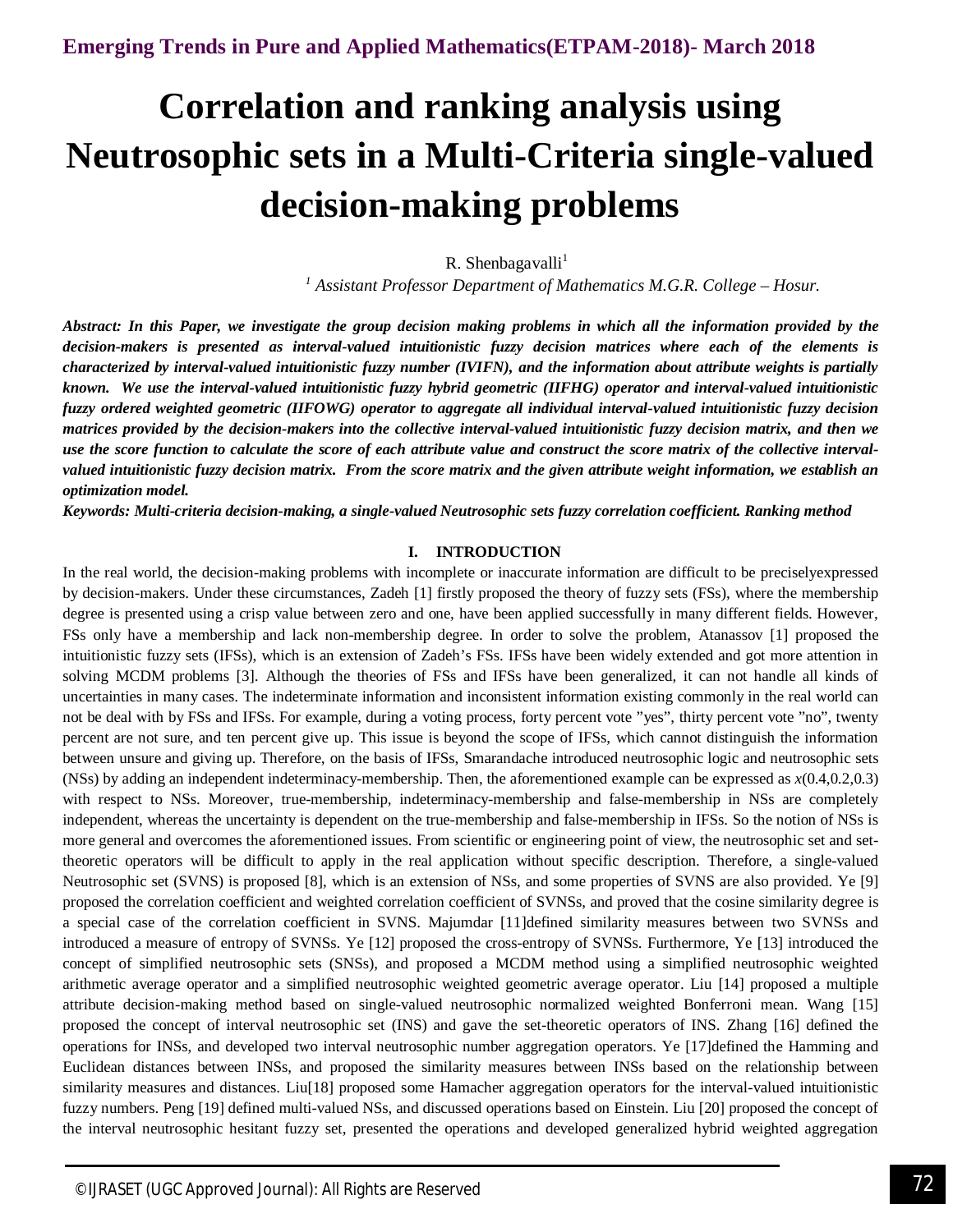# **Correlation and ranking analysis using Neutrosophic sets in a Multi-Criteria single-valued decision-making problems**

R. Shenbagavalli<sup>1</sup>

*<sup>1</sup> Assistant Professor Department of Mathematics M.G.R. College – Hosur.*

*Abstract: In this Paper, we investigate the group decision making problems in which all the information provided by the decision-makers is presented as interval-valued intuitionistic fuzzy decision matrices where each of the elements is characterized by interval-valued intuitionistic fuzzy number (IVIFN), and the information about attribute weights is partially known. We use the interval-valued intuitionistic fuzzy hybrid geometric (IIFHG) operator and interval-valued intuitionistic fuzzy ordered weighted geometric (IIFOWG) operator to aggregate all individual interval-valued intuitionistic fuzzy decision matrices provided by the decision-makers into the collective interval-valued intuitionistic fuzzy decision matrix, and then we use the score function to calculate the score of each attribute value and construct the score matrix of the collective intervalvalued intuitionistic fuzzy decision matrix. From the score matrix and the given attribute weight information, we establish an optimization model.*

*Keywords: Multi-criteria decision-making, a single-valued Neutrosophic sets fuzzy correlation coefficient. Ranking method* 

# **I. INTRODUCTION**

In the real world, the decision-making problems with incomplete or inaccurate information are difficult to be preciselyexpressed by decision-makers. Under these circumstances, Zadeh [1] firstly proposed the theory of fuzzy sets (FSs), where the membership degree is presented using a crisp value between zero and one, have been applied successfully in many different fields. However, FSs only have a membership and lack non-membership degree. In order to solve the problem, Atanassov [1] proposed the intuitionistic fuzzy sets (IFSs), which is an extension of Zadeh's FSs. IFSs have been widely extended and got more attention in solving MCDM problems [3]. Although the theories of FSs and IFSs have been generalized, it can not handle all kinds of uncertainties in many cases. The indeterminate information and inconsistent information existing commonly in the real world can not be deal with by FSs and IFSs. For example, during a voting process, forty percent vote "yes", thirty percent vote "no", twenty percent are not sure, and ten percent give up. This issue is beyond the scope of IFSs, which cannot distinguish the information between unsure and giving up. Therefore, on the basis of IFSs, Smarandache introduced neutrosophic logic and neutrosophic sets (NSs) by adding an independent indeterminacy-membership. Then, the aforementioned example can be expressed as *x*(0.4,0.2,0.3) with respect to NSs. Moreover, true-membership, indeterminacy-membership and false-membership in NSs are completely independent, whereas the uncertainty is dependent on the true-membership and false-membership in IFSs. So the notion of NSs is more general and overcomes the aforementioned issues. From scientific or engineering point of view, the neutrosophic set and settheoretic operators will be difficult to apply in the real application without specific description. Therefore, a single-valued Neutrosophic set (SVNS) is proposed [8], which is an extension of NSs, and some properties of SVNS are also provided. Ye [9] proposed the correlation coefficient and weighted correlation coefficient of SVNSs, and proved that the cosine similarity degree is a special case of the correlation coefficient in SVNS. Majumdar [11]defined similarity measures between two SVNSs and introduced a measure of entropy of SVNSs. Ye [12] proposed the cross-entropy of SVNSs. Furthermore, Ye [13] introduced the concept of simplified neutrosophic sets (SNSs), and proposed a MCDM method using a simplified neutrosophic weighted arithmetic average operator and a simplified neutrosophic weighted geometric average operator. Liu [14] proposed a multiple attribute decision-making method based on single-valued neutrosophic normalized weighted Bonferroni mean. Wang [15] proposed the concept of interval neutrosophic set (INS) and gave the set-theoretic operators of INS. Zhang [16] defined the operations for INSs, and developed two interval neutrosophic number aggregation operators. Ye [17]defined the Hamming and Euclidean distances between INSs, and proposed the similarity measures between INSs based on the relationship between similarity measures and distances. Liu<sup>[18]</sup> proposed some Hamacher aggregation operators for the interval-valued intuitionistic fuzzy numbers. Peng [19] defined multi-valued NSs, and discussed operations based on Einstein. Liu [20] proposed the concept of the interval neutrosophic hesitant fuzzy set, presented the operations and developed generalized hybrid weighted aggregation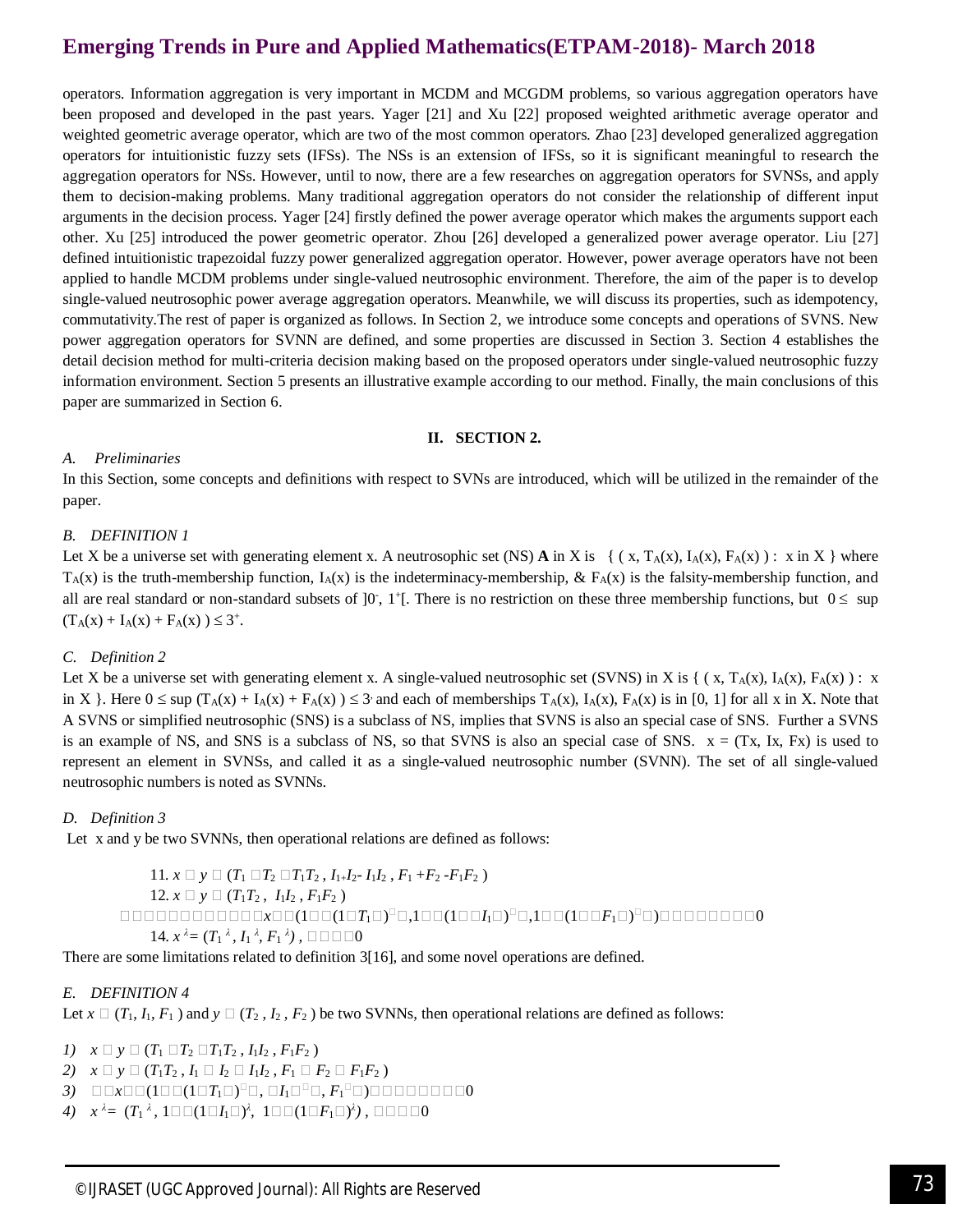operators. Information aggregation is very important in MCDM and MCGDM problems, so various aggregation operators have been proposed and developed in the past years. Yager [21] and Xu [22] proposed weighted arithmetic average operator and weighted geometric average operator, which are two of the most common operators. Zhao [23] developed generalized aggregation operators for intuitionistic fuzzy sets (IFSs). The NSs is an extension of IFSs, so it is significant meaningful to research the aggregation operators for NSs. However, until to now, there are a few researches on aggregation operators for SVNSs, and apply them to decision-making problems. Many traditional aggregation operators do not consider the relationship of different input arguments in the decision process. Yager [24] firstly defined the power average operator which makes the arguments support each other. Xu [25] introduced the power geometric operator. Zhou [26] developed a generalized power average operator. Liu [27] defined intuitionistic trapezoidal fuzzy power generalized aggregation operator. However, power average operators have not been applied to handle MCDM problems under single-valued neutrosophic environment. Therefore, the aim of the paper is to develop single-valued neutrosophic power average aggregation operators. Meanwhile, we will discuss its properties, such as idempotency, commutativity.The rest of paper is organized as follows. In Section 2, we introduce some concepts and operations of SVNS. New power aggregation operators for SVNN are defined, and some properties are discussed in Section 3. Section 4 establishes the detail decision method for multi-criteria decision making based on the proposed operators under single-valued neutrosophic fuzzy information environment. Section 5 presents an illustrative example according to our method. Finally, the main conclusions of this paper are summarized in Section 6.

## **II. SECTION 2.**

# *A. Preliminaries*

In this Section, some concepts and definitions with respect to SVNs are introduced, which will be utilized in the remainder of the paper.

# *B. DEFINITION 1*

Let X be a universe set with generating element x. A neutrosophic set (NS) A in X is {  $(x, T_A(x), I_A(x), F_A(x))$  : x in X } where  $T_A(x)$  is the truth-membership function,  $I_A(x)$  is the indeterminacy-membership, &  $F_A(x)$  is the falsity-membership function, and all are real standard or non-standard subsets of  $]0$ ,  $1$ <sup>+</sup>[. There is no restriction on these three membership functions, but  $0 \leq$  sup  $(T_A(x) + I_A(x) + F_A(x)) \leq 3^+$ .

# *C. Definition 2*

Let X be a universe set with generating element x. A single-valued neutrosophic set (SVNS) in X is { ( $x, T_A(x), I_A(x), F_A(x)$ ) : x in X }. Here  $0 \leq \sup (T_A(x) + I_A(x) + F_A(x)) \leq 3$  and each of memberships  $T_A(x)$ ,  $I_A(x)$ ,  $F_A(x)$  is in [0, 1] for all x in X. Note that A SVNS or simplified neutrosophic (SNS) is a subclass of NS, implies that SVNS is also an special case of SNS. Further a SVNS is an example of NS, and SNS is a subclass of NS, so that SVNS is also an special case of SNS.  $x = (Tx, Ix, Fx)$  is used to represent an element in SVNSs, and called it as a single-valued neutrosophic number (SVNN). The set of all single-valued neutrosophic numbers is noted as SVNNs.

# *D. Definition 3*

Let x and y be two SVNNs, then operational relations are defined as follows:

11. 
$$
x \Box y \Box (T_1 \Box T_2 \Box T_1 T_2, I_1 I_2 - I_1 I_2, F_1 + F_2 - F_1 F_2)
$$
  
\n12.  $x \Box y \Box (T_1 T_2, I_1 I_2, F_1 F_2)$   
\n $\Box \Box \Box \Box \Box \Box \Box \Box \Box \Box \Box \Box \Box \Box \Box (1 \Box T_1 \Box)^{\Box} \Box, 1 \Box \Box (1 \Box T_1 \Box)^{\Box} \Box, 1 \Box \Box (1 \Box T_1 \Box)^{\Box} \Box)$   
\n14.  $x^{\lambda} = (T_1^{\lambda}, I_1^{\lambda}, F_1^{\lambda})$ ,  $\Box \Box \Box \Box 0$ 

There are some limitations related to definition 3[16], and some novel operations are defined.

# *E. DEFINITION 4*

Let  $x \Box (T_1, I_1, F_1)$  and  $y \Box (T_2, I_2, F_2)$  be two SVNNs, then operational relations are defined as follows:

*1*)  $x \Box y \Box (T_1 \Box T_2 \Box T_1 T_2, I_1 I_2, F_1 F_2)$ 

- *2*)  $x \Box y \Box (T_1T_2, I_1 \Box I_2 \Box I_1I_2, F_1 \Box F_2 \Box F_1F_2)$
- $\beta$ )  $\Box$   $\Box x$   $\Box$   $(1\Box T_1\Box)^{\Box}$   $\Box$  ,  $\Box I_1$   $\Box^{\Box}$   $\Box$  ,  $F_1$   $\Box$   $)$   $\Box$   $\Box$   $\Box$   $\Box$   $\Box$   $\Box$
- *4*)  $x^{\lambda} = (T_1{}^{\lambda}, 1\square\,\Box (1\square I_1\square)^{\lambda}, 1\square\,\Box (1\square F_1\square)^{\lambda})$ , ΩΩΩΩ0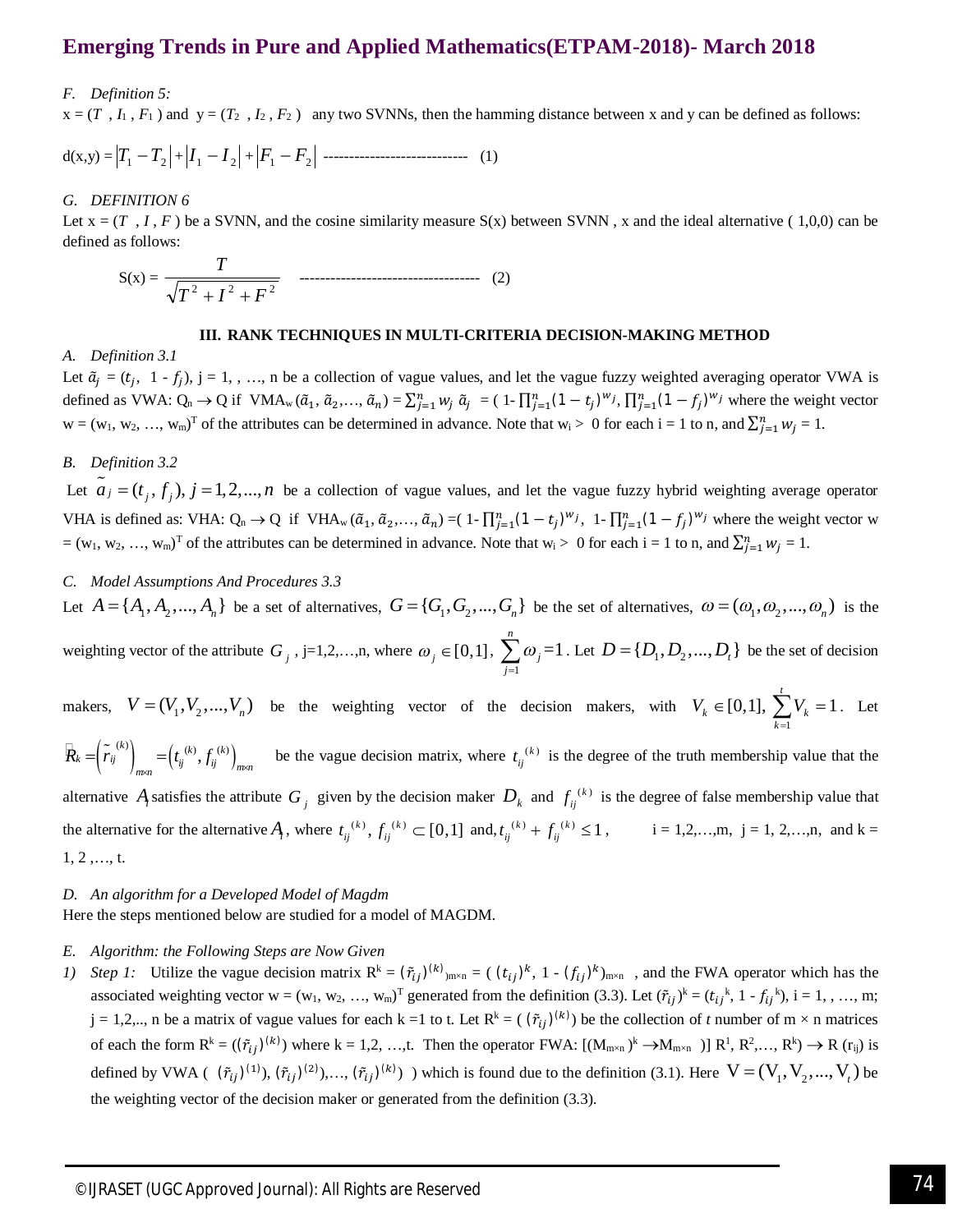## *F. Definition 5:*

 $x = (T, I_1, F_1)$  and  $y = (T_2, I_2, F_2)$  any two SVNNs, then the hamming distance between x and y can be defined as follows:

$$
d(x,y) = |T_1 - T_2| + |I_1 - I_2| + |F_1 - F_2| \dots
$$
 (1)

### *G. DEFINITION 6*

Let  $x = (T, I, F)$  be a SVNN, and the cosine similarity measure  $S(x)$  between SVNN, x and the ideal alternative (1,0,0) can be defined as follows:

$$
S(x) = \frac{T}{\sqrt{T^2 + I^2 + F^2}}
$$
   
 (2)

#### **III. RANK TECHNIQUES IN MULTI-CRITERIA DECISION-MAKING METHOD**

#### *A. Definition 3.1*

Let  $\tilde{a}_j = (t_j, 1 - f_j)$ ,  $j = 1, \ldots, n$  be a collection of vague values, and let the vague fuzzy weighted averaging operator VWA is defined as VWA:  $Q_n \to Q$  if VMA<sub>w</sub>  $(\tilde{a}_1, \tilde{a}_2, ..., \tilde{a}_n) = \sum_{j=1}^n w_j \tilde{a}_j = (1 - \prod_{j=1}^n (1 - t_j)^{w_j}, \prod_{j=1}^n (1 - f_j)^{w_j}$  where the weight vector  $w = (w_1, w_2, ..., w_m)^T$  of the attributes can be determined in advance. Note that  $w_i > 0$  for each  $i = 1$  to n, and  $\sum_{j=1}^{n} w_j = 1$ .

# *B. Definition 3.2*

Let  $\tilde{a}_j = (t_j, f_j)$ ,  $j = 1, 2, ..., n$  be a collection of vague values, and let the vague fuzzy hybrid weighting average operator VHA is defined as: VHA:  $Q_n \to Q$  if VHA<sub>w</sub> ( $\tilde{a}_1, \tilde{a}_2, ..., \tilde{a}_n$ ) = (1 -  $\prod_{j=1}^n (1-t_j)^{w_j}$ , 1 -  $\prod_{j=1}^n (1-t_j)^{w_j}$  where the weight vector w  $=(w_1, w_2, ..., w_m)^T$  of the attributes can be determined in advance. Note that  $w_i > 0$  for each  $i = 1$  to n, and  $\sum_{j=1}^{n} w_j = 1$ .

## *C. Model Assumptions And Procedures 3.3*

Let  $A = \{A_1, A_2, ..., A_n\}$  be a set of alternatives,  $G = \{G_1, G_2, ..., G_n\}$  be the set of alternatives,  $\omega = (\omega_1, \omega_2, ..., \omega_n)$  is the weighting vector of the attribute  $G_j$ ,  $j=1,2,...,n$ , where  $\omega_j \in [0,1]$ , 1  $=1$ *n j j* ω  $\sum_{j=1}^{\infty} \omega_j = 1$ . Let  $D = \{D_1, D_2, ..., D_t\}$  be the set of decision

makers,  $V = (V_1, V_2, ..., V_n)$  be the weighting vector of the decision makers, with 1  $[0,1], \sum_{k=1}^{t} V_{k} = 1.$  $k \sim \text{L0,1}, \sum_{k=1}^k k_k$  $V_{k} \in [0,1], \sum V_{k}$  $\in [0,1], \sum_{k=1} V_k = 1.$  Let

 $R_k = \left(\tilde{r}_{ij}^{(k)}\right)_{\text{mean}} = \left(t_{ij}^{(k)}, f_{ij}^{(k)}\right)_{\text{mean}}$  be the vague decision matrix, where  $t_{ij}^{(k)}$  is the degree of the truth membership value that the alternative  $A_i$  satisfies the attribute  $G_j$  given by the decision maker  $D_k$  and  $f_{ij}^{(k)}$  is the degree of false membership value that the alternative for the alternative  $A_i$ , where  $t_{ij}^{(k)}$ ,  $f_{ij}^{(k)} \subset [0,1]$  and,  $t_{ij}^{(k)} + f_{ij}^{(k)} \le 1$ ,  $i = 1, 2, \ldots, m, j = 1, 2, \ldots, n$ , and k =

1, 2 ,…, t.

#### *D. An algorithm for a Developed Model of Magdm*

Here the steps mentioned below are studied for a model of MAGDM.

#### *E. Algorithm: the Following Steps are Now Given*

*1) Step 1*: Utilize the vague decision matrix  $R^k = (\tilde{r}_{ij})^{(k)}_{m \times n} = ( (t_{ij})^k, 1 - (f_{ij})^k_{m \times n} )$ , and the FWA operator which has the associated weighting vector  $w = (w_1, w_2, ..., w_m)^T$  generated from the definition (3.3). Let  $(\tilde{r}_{ij})^k = (t_{ij}^k, 1 - f_{ij}^k)$ , i = 1, , ..., m;  $j = 1, 2, \ldots$ , n be a matrix of vague values for each  $k = 1$  to t. Let  $R^k = (\tilde{r}_{ij})^{(k)}$  be the collection of *t* number of  $m \times n$  matrices of each the form  $R^k = ((\tilde{r}_{ij})^{(k)})$  where  $k = 1, 2, ..., t$ . Then the operator FWA:  $[(M_{m \times n})^k \rightarrow M_{m \times n}] \mid R^1, R^2, ..., R^k \rightarrow R$  (r<sub>ij</sub>) is defined by VWA ( $(\tilde{r}_{ij})^{(1)}$ ),  $(\tilde{r}_{ij})^{(2)}$ ),...,  $(\tilde{r}_{ij})^{(k)}$ ) which is found due to the definition (3.1). Here  $V = (V_1, V_2, ..., V_t)$  be the weighting vector of the decision maker or generated from the definition (3.3).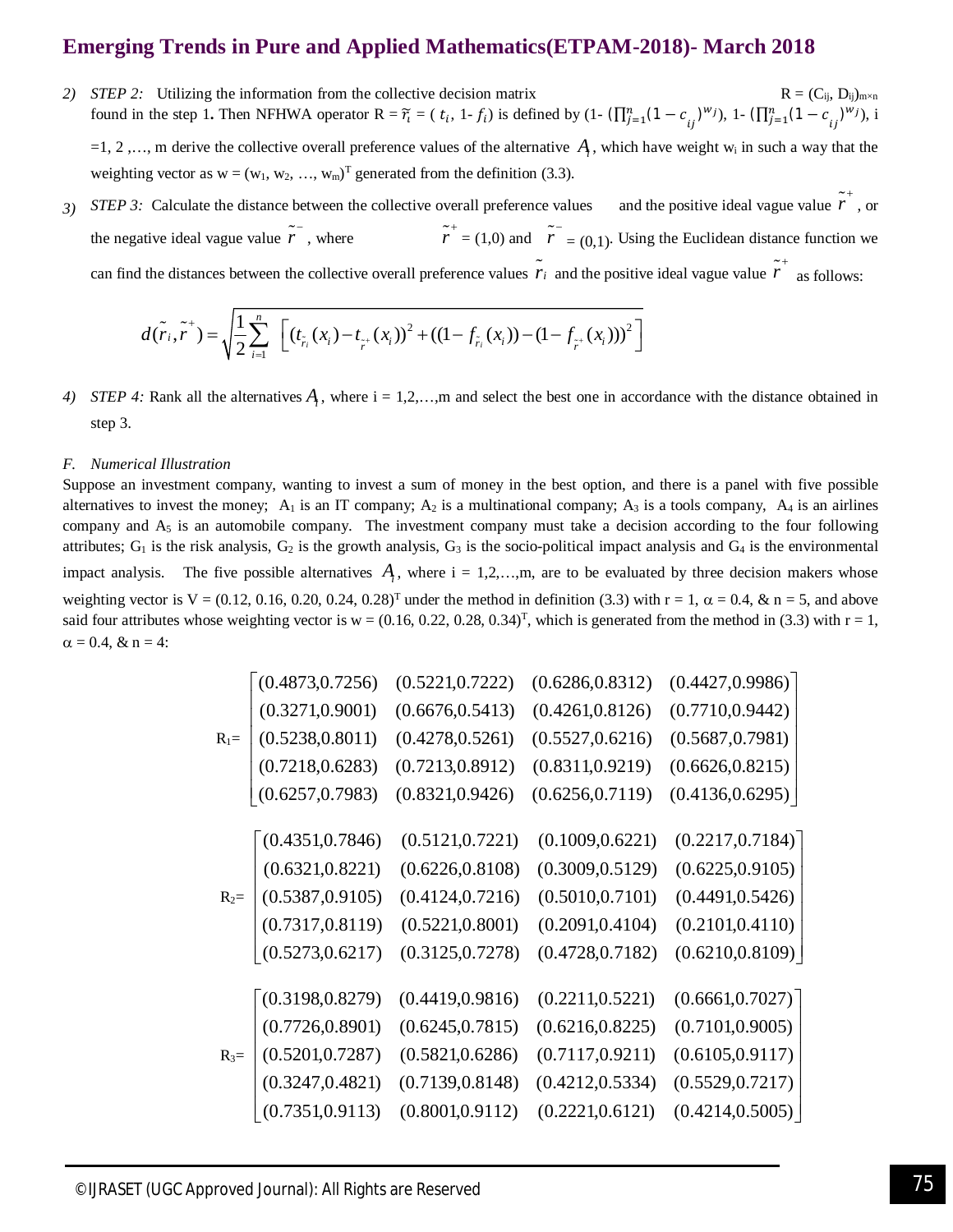*2) STEP 2:* Utilizing the information from the collective decision matrix  $R = (C_{ij}, D_{ij})_{m \times n}$ found in the step 1. Then NFHWA operator  $R = \tilde{r}_i = (t_i, 1 - f_i)$  is defined by  $(1 - (\prod_{j=1}^n (1 - c_{ij})^{w_j}), 1 - (\prod_{j=1}^n (1 - c_{ij})^{w_j}), i$ 

 $=1, 2, \ldots$ , m derive the collective overall preference values of the alternative  $A_i$ , which have weight w<sub>i</sub> in such a way that the weighting vector as  $w = (w_1, w_2, ..., w_m)^T$  generated from the definition (3.3).

*3) STEP 3:* Calculate the distance between the collective overall preference values  $\tilde{r}^+$ , or the negative ideal vague value  $\tilde{r}$ , where  $\tilde{r}$  $\tilde{r}$ <sup>+</sup> = (1,0) and  $\tilde{r}$ <sup>-</sup> = (0,1). Using the Euclidean distance function we can find the distances between the collective overall preference values  $\tilde{r}_i$  and the positive ideal vague value  $\tilde{r}$  as follows:

$$
d(\tilde{r}_i, \tilde{r}^+) = \sqrt{\frac{1}{2} \sum_{i=1}^n \left[ (t_{\tilde{r}_i}(x_i) - t_{\tilde{r}^+}(x_i))^2 + ((1 - f_{\tilde{r}_i}(x_i)) - (1 - f_{\tilde{r}^+}(x_i)))^2 \right]}
$$

*4) STEP 4:* Rank all the alternatives  $A_i$ , where  $i = 1, 2, \ldots, m$  and select the best one in accordance with the distance obtained in step 3.

## *F. Numerical Illustration*

Suppose an investment company, wanting to invest a sum of money in the best option, and there is a panel with five possible alternatives to invest the money;  $A_1$  is an IT company;  $A_2$  is a multinational company;  $A_3$  is a tools company,  $A_4$  is an airlines company and  $A_5$  is an automobile company. The investment company must take a decision according to the four following attributes;  $G_1$  is the risk analysis,  $G_2$  is the growth analysis,  $G_3$  is the socio-political impact analysis and  $G_4$  is the environmental impact analysis. The five possible alternatives  $A_i$ , where  $i = 1, 2, \ldots, m$ , are to be evaluated by three decision makers whose weighting vector is  $V = (0.12, 0.16, 0.20, 0.24, 0.28)^T$  under the method in definition (3.3) with  $r = 1$ ,  $\alpha = 0.4$ , & n = 5, and above said four attributes whose weighting vector is  $w = (0.16, 0.22, 0.28, 0.34)^T$ , which is generated from the method in (3.3) with  $r = 1$ ,  $\alpha = 0.4$ , & n = 4:

|         | (0.4873, 0.7256) | (0.5221, 0.7222) | (0.6286, 0.8312) | (0.4427, 0.9986) |
|---------|------------------|------------------|------------------|------------------|
|         | (0.3271, 0.9001) | (0.6676, 0.5413) | (0.4261, 0.8126) | (0.7710, 0.9442) |
| $R_1 =$ | (0.5238, 0.8011) | (0.4278, 0.5261) | (0.5527, 0.6216) | (0.5687, 0.7981) |
|         | (0.7218, 0.6283) | (0.7213, 0.8912) | (0.8311, 0.9219) | (0.6626, 0.8215) |
|         | (0.6257, 0.7983) | (0.8321, 0.9426) | (0.6256, 0.7119) | (0.4136, 0.6295) |
|         |                  |                  |                  |                  |
|         | (0.4351, 0.7846) | (0.5121, 0.7221) | (0.1009, 0.6221) | (0.2217, 0.7184) |
|         | (0.6321, 0.8221) | (0.6226, 0.8108) | (0.3009, 0.5129) | (0.6225, 0.9105) |
| $R_2=$  | (0.5387, 0.9105) | (0.4124, 0.7216) | (0.5010, 0.7101) | (0.4491, 0.5426) |
|         | (0.7317, 0.8119) | (0.5221, 0.8001) | (0.2091, 0.4104) | (0.2101, 0.4110) |
|         | (0.5273, 0.6217) | (0.3125, 0.7278) | (0.4728, 0.7182) | (0.6210, 0.8109) |
|         |                  |                  |                  |                  |
|         | (0.3198, 0.8279) | (0.4419, 0.9816) | (0.2211, 0.5221) | (0.6661, 0.7027) |
|         | (0.7726, 0.8901) | (0.6245, 0.7815) | (0.6216, 0.8225) | (0.7101, 0.9005) |
| $R_3=$  | (0.5201, 0.7287) | (0.5821, 0.6286) | (0.7117, 0.9211) | (0.6105, 0.9117) |
|         | (0.3247, 0.4821) | (0.7139, 0.8148) | (0.4212, 0.5334) | (0.5529, 0.7217) |
|         | (0.7351, 0.9113) | (0.8001, 0.9112) | (0.2221, 0.6121) | (0.4214, 0.5005) |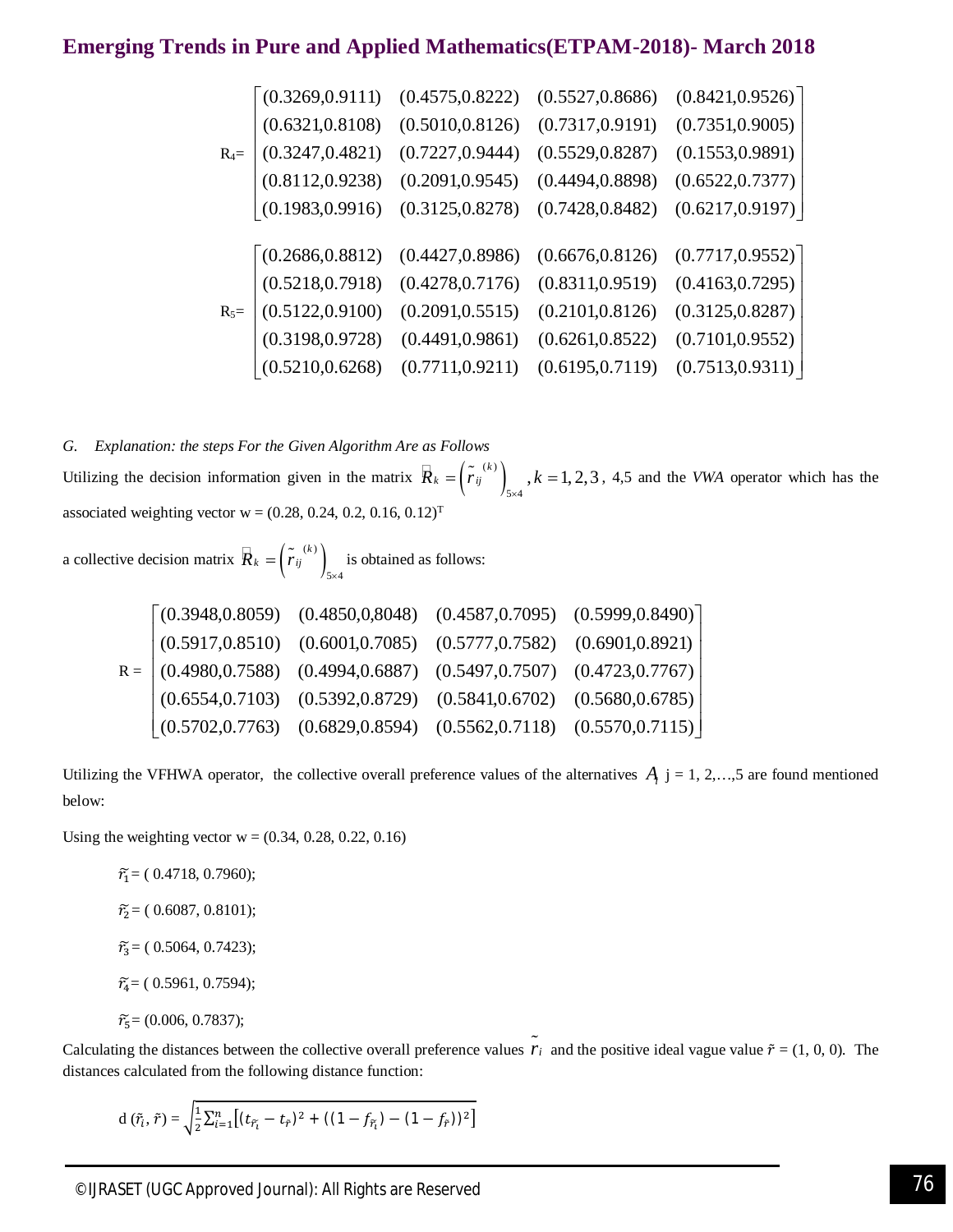| \n $R_{4} = \n \begin{bmatrix}\n (0.3269, 0.9111) & (0.4575, 0.8222) & (0.5527, 0.8686) & (0.8421, 0.9526) \\ (0.6321, 0.8108) & (0.5010, 0.8126) & (0.7317, 0.9191) & (0.7351, 0.9005) \\ (0.3247, 0.4821) & (0.7227, 0.9444) & (0.5529, 0.8287) & (0.1553, 0.9891) \\ (0.8112, 0.9238) & (0.2091, 0.9545) & (0.4494, 0.8898) & (0.6522, 0.7377) \\ (0.1983, 0.9916) & (0.3125, 0.8278) & (0.7428, 0.8482) & (0.6217, 0.9197) \\ (0.2686, 0.8812) & (0.4427, 0.8986) & (0.6676, 0.8126) & (0.7717, 0.9552) \\ (0.5218, 0.7918) & (0.4278, 0.7176) & (0.8311, 0.9519) & (0.4163, 0.7295) \\ (0.5122, 0.9100) & (0.2091, 0.5515) & (0.2101, 0.8126) & (0.3125, 0.8287) \\ (0.3198, 0.9728) & (0.4491, 0.9861) & (0.6261, 0.8522) & (0.7101, 0.9552) \\ (0.5210, 0.6268) & (0.7711, 0.9211) & (0.6195, 0.7119) & (0.7513, 0$ |
|----------------------------------------------------------------------------------------------------------------------------------------------------------------------------------------------------------------------------------------------------------------------------------------------------------------------------------------------------------------------------------------------------------------------------------------------------------------------------------------------------------------------------------------------------------------------------------------------------------------------------------------------------------------------------------------------------------------------------------------------------------------------------------------------------------------------------|
|----------------------------------------------------------------------------------------------------------------------------------------------------------------------------------------------------------------------------------------------------------------------------------------------------------------------------------------------------------------------------------------------------------------------------------------------------------------------------------------------------------------------------------------------------------------------------------------------------------------------------------------------------------------------------------------------------------------------------------------------------------------------------------------------------------------------------|

*G. Explanation: the steps For the Given Algorithm Are as Follows* Utilizing the decision information given in the matrix  $\vec{R}_k = \left(\vec{r}_j^{(k)}\right)_{k=1}$  $\hat{R}_k = \left(\tilde{r}_{ij}^{(k)}\right)_{5\times4}$ ,  $k = 1, 2, 3$ , 4,5 and the *VWA* operator which has the associated weighting vector  $w = (0.28, 0.24, 0.2, 0.16, 0.12)^T$ 

a collective decision matrix  $\overline{R}_k = \left(\tilde{r}_{ij}^{(k)}\right)_{k}$  $5 \times 4$  $\hat{R}_k = \left(\tilde{r}_{ij}^{(k)}\right)_{5\times 4}$  is obtained as follows:

|  | $(0.3948, 0.8059)$ $(0.4850, 0.8048)$ $(0.4587, 0.7095)$ $(0.5999, 0.8490)$                           |  |
|--|-------------------------------------------------------------------------------------------------------|--|
|  | $(0.5917, 0.8510)$ $(0.6001, 0.7085)$ $(0.5777, 0.7582)$ $(0.6901, 0.8921)$                           |  |
|  | $R = \begin{bmatrix} 0.4980, 0.7588 & 0.4994, 0.6887 & 0.5497, 0.7507 & 0.4723, 0.7767 \end{bmatrix}$ |  |
|  | $(0.6554, 0.7103)$ $(0.5392, 0.8729)$ $(0.5841, 0.6702)$ $(0.5680, 0.6785)$                           |  |
|  | $(0.5702, 0.7763)$ $(0.6829, 0.8594)$ $(0.5562, 0.7118)$ $(0.5570, 0.7115)$                           |  |

Utilizing the VFHWA operator, the collective overall preference values of the alternatives  $A_i$  j = 1, 2, ..., 5 are found mentioned below:

Using the weighting vector  $w = (0.34, 0.28, 0.22, 0.16)$ 

 $\tilde{r}_1$  = (0.4718, 0.7960);  $\tilde{r}_2$  = (0.6087, 0.8101);  $\tilde{r}_3$  = (0.5064, 0.7423);  $\widetilde{r}_4$  = (0.5961, 0.7594);  $\tilde{r}_5 = (0.006, 0.7837);$ 

Calculating the distances between the collective overall preference values  $\tilde{r}_i$  and the positive ideal vague value  $\tilde{r} = (1, 0, 0)$ . The distances calculated from the following distance function:

$$
d(\tilde{r}_i, \tilde{r}) = \sqrt{\frac{1}{2} \sum_{i=1}^n \left[ (t_{\tilde{r}_i} - t_{\tilde{r}})^2 + ((1 - f_{\tilde{r}_i}) - (1 - f_{\tilde{r}}))^2 \right]}
$$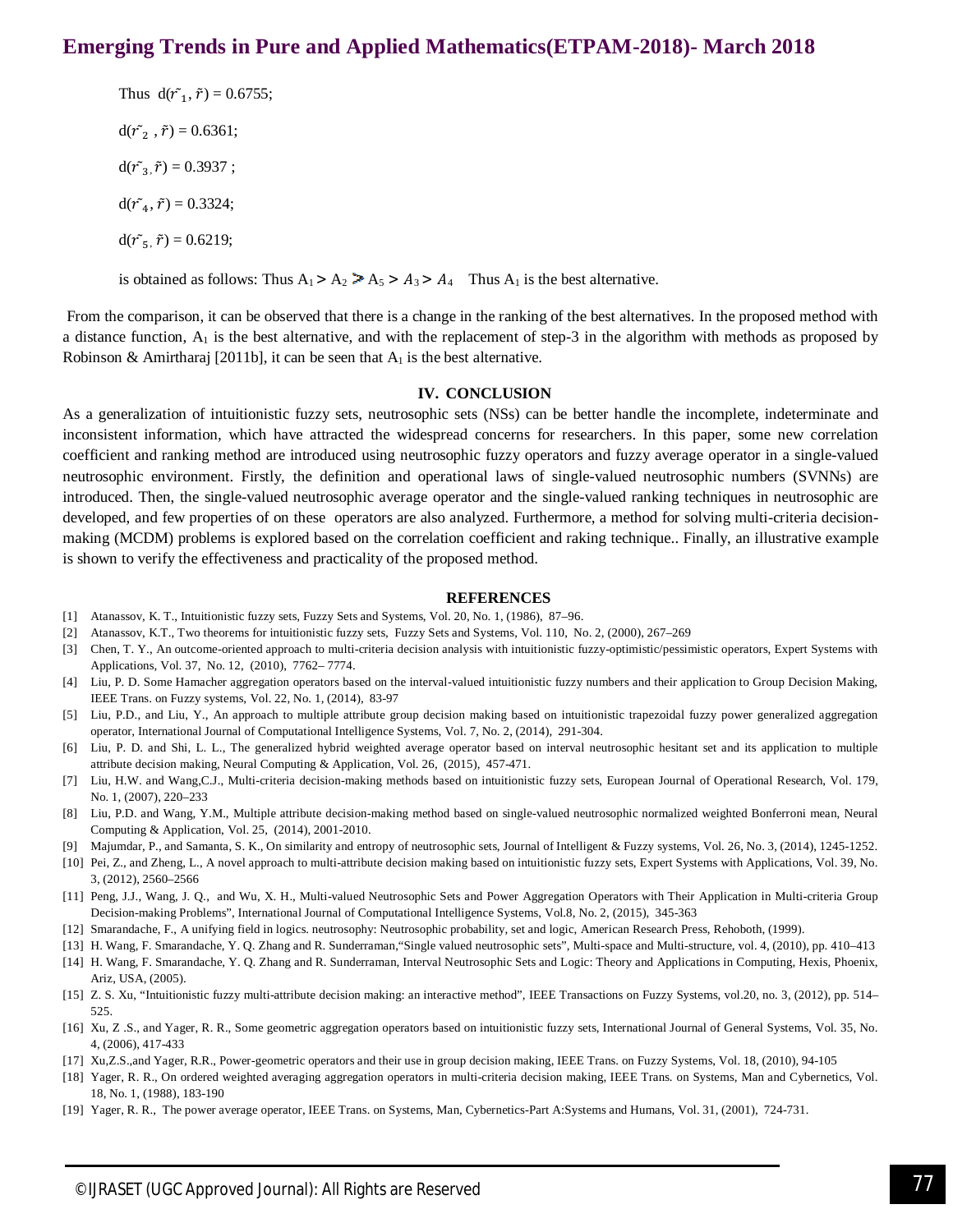Thus  $d(\tilde{r}_1, \tilde{r}) = 0.6755$ ;  $d(\tilde{r}_2, \tilde{r}) = 0.6361;$  $d(\tilde{r}_3, \tilde{r}) = 0.3937;$  $d(\tilde{r}_4, \tilde{r}) = 0.3324;$  $d(\tilde{r}_5, \tilde{r}) = 0.6219;$ 

is obtained as follows: Thus  $A_1 > A_2 > A_5 > A_3 > A_4$  Thus  $A_1$  is the best alternative.

From the comparison, it can be observed that there is a change in the ranking of the best alternatives. In the proposed method with a distance function,  $A_1$  is the best alternative, and with the replacement of step-3 in the algorithm with methods as proposed by Robinson & Amirtharaj [2011b], it can be seen that  $A_1$  is the best alternative.

#### **IV. CONCLUSION**

As a generalization of intuitionistic fuzzy sets, neutrosophic sets (NSs) can be better handle the incomplete, indeterminate and inconsistent information, which have attracted the widespread concerns for researchers. In this paper, some new correlation coefficient and ranking method are introduced using neutrosophic fuzzy operators and fuzzy average operator in a single-valued neutrosophic environment. Firstly, the definition and operational laws of single-valued neutrosophic numbers (SVNNs) are introduced. Then, the single-valued neutrosophic average operator and the single-valued ranking techniques in neutrosophic are developed, and few properties of on these operators are also analyzed. Furthermore, a method for solving multi-criteria decisionmaking (MCDM) problems is explored based on the correlation coefficient and raking technique.. Finally, an illustrative example is shown to verify the effectiveness and practicality of the proposed method.

#### **REFERENCES**

- [1] Atanassov, K. T., Intuitionistic fuzzy sets, Fuzzy Sets and Systems, Vol. 20, No. 1, (1986), 87–96.
- [2] Atanassov, K.T., Two theorems for intuitionistic fuzzy sets, Fuzzy Sets and Systems, Vol. 110, No. 2, (2000), 267–269
- [3] Chen, T. Y., An outcome-oriented approach to multi-criteria decision analysis with intuitionistic fuzzy-optimistic/pessimistic operators, Expert Systems with Applications, Vol. 37, No. 12, (2010), 7762– 7774.
- [4] Liu, P. D. Some Hamacher aggregation operators based on the interval-valued intuitionistic fuzzy numbers and their application to Group Decision Making, IEEE Trans. on Fuzzy systems, Vol. 22, No. 1, (2014), 83-97
- [5] Liu, P.D., and Liu, Y., An approach to multiple attribute group decision making based on intuitionistic trapezoidal fuzzy power generalized aggregation operator, International Journal of Computational Intelligence Systems, Vol. 7, No. 2, (2014), 291-304.
- [6] Liu, P. D. and Shi, L. L., The generalized hybrid weighted average operator based on interval neutrosophic hesitant set and its application to multiple attribute decision making, Neural Computing & Application, Vol. 26, (2015), 457-471.
- [7] Liu, H.W. and Wang,C.J., Multi-criteria decision-making methods based on intuitionistic fuzzy sets, European Journal of Operational Research, Vol. 179, No. 1, (2007), 220–233
- [8] Liu, P.D. and Wang, Y.M., Multiple attribute decision-making method based on single-valued neutrosophic normalized weighted Bonferroni mean, Neural Computing & Application, Vol. 25, (2014), 2001-2010.
- [9] Majumdar, P., and Samanta, S. K., On similarity and entropy of neutrosophic sets, Journal of Intelligent & Fuzzy systems, Vol. 26, No. 3, (2014), 1245-1252.
- [10] Pei, Z., and Zheng, L., A novel approach to multi-attribute decision making based on intuitionistic fuzzy sets, Expert Systems with Applications, Vol. 39, No. 3, (2012), 2560–2566
- [11] Peng, J.J., Wang, J. Q., and Wu, X. H., Multi-valued Neutrosophic Sets and Power Aggregation Operators with Their Application in Multi-criteria Group Decision-making Problems", International Journal of Computational Intelligence Systems, Vol.8, No. 2, (2015), 345-363
- [12] Smarandache, F., A unifying field in logics. neutrosophy: Neutrosophic probability, set and logic, American Research Press, Rehoboth, (1999).
- [13] H. Wang, F. Smarandache, Y. Q. Zhang and R. Sunderraman,"Single valued neutrosophic sets", Multi-space and Multi-structure, vol. 4, (2010), pp. 410–413 [14] H. Wang, F. Smarandache, Y. Q. Zhang and R. Sunderraman, Interval Neutrosophic Sets and Logic: Theory and Applications in Computing, Hexis, Phoenix, Ariz, USA, (2005).
- [15] Z. S. Xu, "Intuitionistic fuzzy multi-attribute decision making: an interactive method", IEEE Transactions on Fuzzy Systems, vol.20, no. 3, (2012), pp. 514– 525.
- [16] Xu, Z .S., and Yager, R. R., Some geometric aggregation operators based on intuitionistic fuzzy sets, International Journal of General Systems, Vol. 35, No. 4, (2006), 417-433
- [17] Xu,Z.S.,and Yager, R.R., Power-geometric operators and their use in group decision making, IEEE Trans. on Fuzzy Systems, Vol. 18, (2010), 94-105
- [18] Yager, R. R., On ordered weighted averaging aggregation operators in multi-criteria decision making, IEEE Trans. on Systems, Man and Cybernetics, Vol. 18, No. 1, (1988), 183-190
- [19] Yager, R. R., The power average operator, IEEE Trans. on Systems, Man, Cybernetics-Part A:Systems and Humans, Vol. 31, (2001), 724-731.